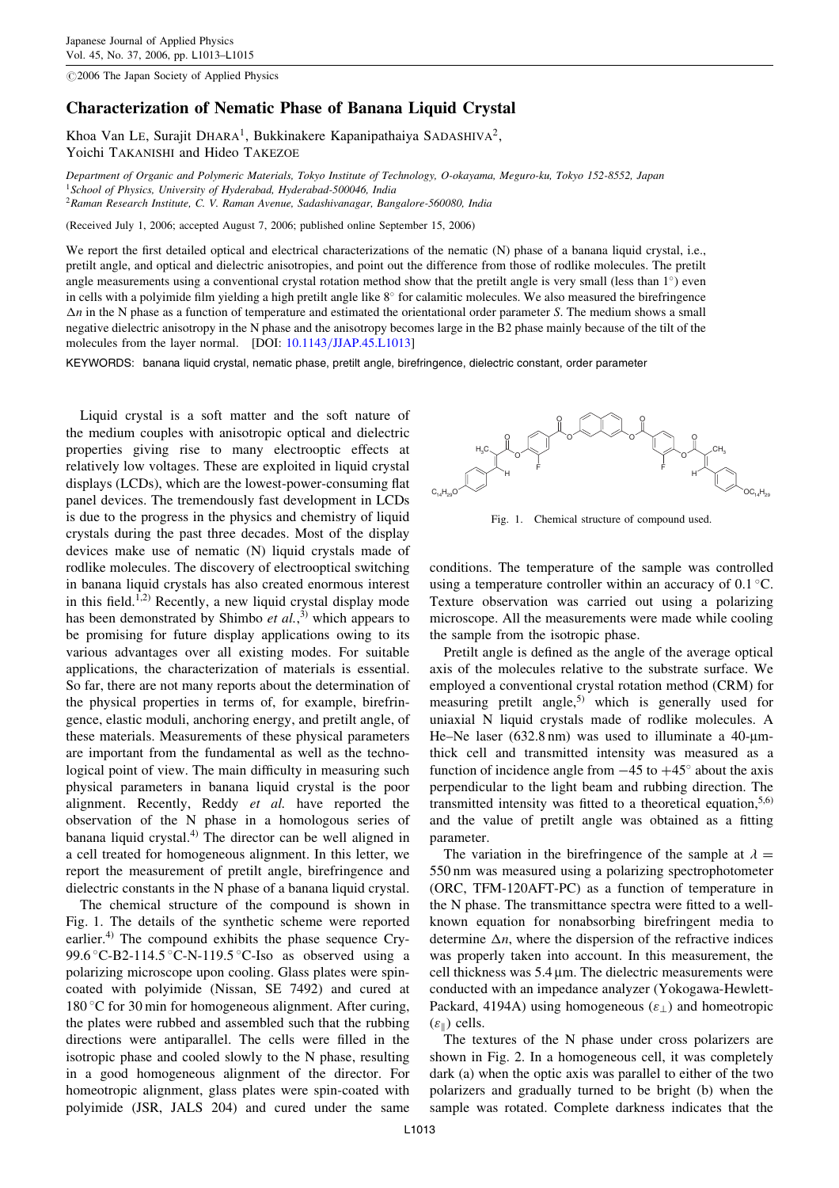$@2006$  The Japan Society of Applied Physics

## Characterization of Nematic Phase of Banana Liquid Crystal

Khoa Van LE, Surajit DHARA<sup>1</sup>, Bukkinakere Kapanipathaiya SADASHIVA<sup>2</sup>, Yoichi TAKANISHI and Hideo TAKEZOE

Department of Organic and Polymeric Materials, Tokyo Institute of Technology, O-okayama, Meguro-ku, Tokyo 152-8552, Japan  $1$ School of Physics, University of Hyderabad, Hyderabad-500046, India <sup>2</sup>Raman Research Institute, C. V. Raman Avenue, Sadashivanagar, Bangalore-560080, India

(Received July 1, 2006; accepted August 7, 2006; published online September 15, 2006)

We report the first detailed optical and electrical characterizations of the nematic (N) phase of a banana liquid crystal, i.e., pretilt angle, and optical and dielectric anisotropies, and point out the difference from those of rodlike molecules. The pretilt angle measurements using a conventional crystal rotation method show that the pretilt angle is very small (less than  $1^{\circ}$ ) even in cells with a polyimide film yielding a high pretilt angle like  $8^\circ$  for calamitic molecules. We also measured the birefringence  $\Delta n$  in the N phase as a function of temperature and estimated the orientational order parameter S. The medium shows a small negative dielectric anisotropy in the N phase and the anisotropy becomes large in the B2 phase mainly because of the tilt of the molecules from the layer normal. [DOI: [10.1143/JJAP.45.L1013\]](http://dx.doi.org/10.1143/JJAP.45.L1013)

KEYWORDS: banana liquid crystal, nematic phase, pretilt angle, birefringence, dielectric constant, order parameter

Liquid crystal is a soft matter and the soft nature of the medium couples with anisotropic optical and dielectric properties giving rise to many electrooptic effects at relatively low voltages. These are exploited in liquid crystal displays (LCDs), which are the lowest-power-consuming flat panel devices. The tremendously fast development in LCDs is due to the progress in the physics and chemistry of liquid crystals during the past three decades. Most of the display devices make use of nematic (N) liquid crystals made of rodlike molecules. The discovery of electrooptical switching in banana liquid crystals has also created enormous interest in this field.<sup>1,2)</sup> Recently, a new liquid crystal display mode has been demonstrated by Shimbo *et al.*,<sup>3)</sup> which appears to be promising for future display applications owing to its various advantages over all existing modes. For suitable applications, the characterization of materials is essential. So far, there are not many reports about the determination of the physical properties in terms of, for example, birefringence, elastic moduli, anchoring energy, and pretilt angle, of these materials. Measurements of these physical parameters are important from the fundamental as well as the technological point of view. The main difficulty in measuring such physical parameters in banana liquid crystal is the poor alignment. Recently, Reddy et al. have reported the observation of the N phase in a homologous series of banana liquid crystal.4) The director can be well aligned in a cell treated for homogeneous alignment. In this letter, we report the measurement of pretilt angle, birefringence and dielectric constants in the N phase of a banana liquid crystal.

The chemical structure of the compound is shown in Fig. 1. The details of the synthetic scheme were reported earlier.<sup>4)</sup> The compound exhibits the phase sequence Cry-99.6 °C-B2-114.5 °C-N-119.5 °C-Iso as observed using a polarizing microscope upon cooling. Glass plates were spincoated with polyimide (Nissan, SE 7492) and cured at 180 °C for 30 min for homogeneous alignment. After curing, the plates were rubbed and assembled such that the rubbing directions were antiparallel. The cells were filled in the isotropic phase and cooled slowly to the N phase, resulting in a good homogeneous alignment of the director. For homeotropic alignment, glass plates were spin-coated with polyimide (JSR, JALS 204) and cured under the same



Fig. 1. Chemical structure of compound used.

conditions. The temperature of the sample was controlled using a temperature controller within an accuracy of  $0.1 \degree C$ . Texture observation was carried out using a polarizing microscope. All the measurements were made while cooling the sample from the isotropic phase.

Pretilt angle is defined as the angle of the average optical axis of the molecules relative to the substrate surface. We employed a conventional crystal rotation method (CRM) for measuring pretilt angle,<sup>5)</sup> which is generally used for uniaxial N liquid crystals made of rodlike molecules. A He–Ne laser  $(632.8 \text{ nm})$  was used to illuminate a 40-umthick cell and transmitted intensity was measured as a function of incidence angle from  $-45$  to  $+45^{\circ}$  about the axis perpendicular to the light beam and rubbing direction. The transmitted intensity was fitted to a theoretical equation,  $5,6$ ) and the value of pretilt angle was obtained as a fitting parameter.

The variation in the birefringence of the sample at  $\lambda =$ 550 nm was measured using a polarizing spectrophotometer (ORC, TFM-120AFT-PC) as a function of temperature in the N phase. The transmittance spectra were fitted to a wellknown equation for nonabsorbing birefringent media to determine  $\Delta n$ , where the dispersion of the refractive indices was properly taken into account. In this measurement, the cell thickness was 5.4 µm. The dielectric measurements were conducted with an impedance analyzer (Yokogawa-Hewlett-Packard, 4194A) using homogeneous  $(\varepsilon_{\perp})$  and homeotropic  $(\varepsilon_{\parallel})$  cells.

The textures of the N phase under cross polarizers are shown in Fig. 2. In a homogeneous cell, it was completely dark (a) when the optic axis was parallel to either of the two polarizers and gradually turned to be bright (b) when the sample was rotated. Complete darkness indicates that the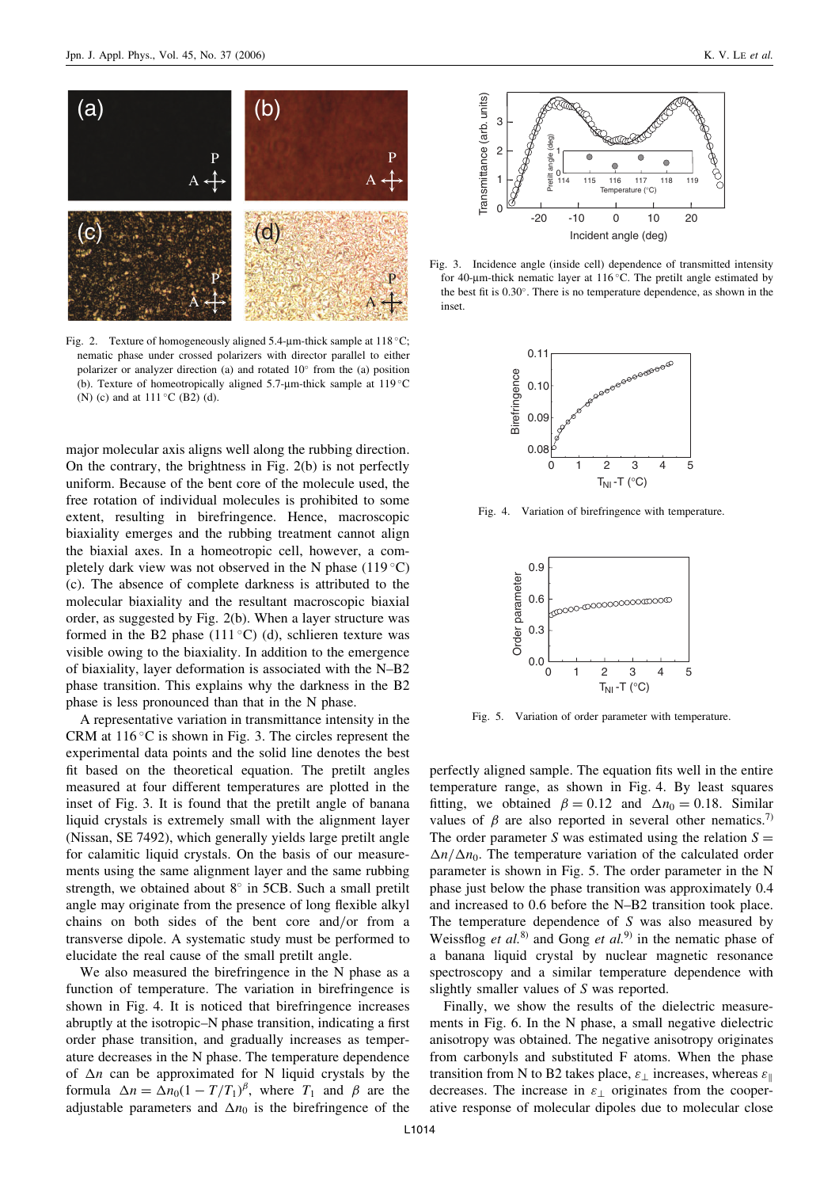

Fig. 2. Texture of homogeneously aligned  $5.4$ -µm-thick sample at  $118$  °C; nematic phase under crossed polarizers with director parallel to either polarizer or analyzer direction (a) and rotated  $10^{\circ}$  from the (a) position (b). Texture of homeotropically aligned 5.7- $\mu$ m-thick sample at 119 °C (N) (c) and at  $111^{\circ}$ C (B2) (d).

major molecular axis aligns well along the rubbing direction. On the contrary, the brightness in Fig. 2(b) is not perfectly uniform. Because of the bent core of the molecule used, the free rotation of individual molecules is prohibited to some extent, resulting in birefringence. Hence, macroscopic biaxiality emerges and the rubbing treatment cannot align the biaxial axes. In a homeotropic cell, however, a completely dark view was not observed in the N phase  $(119 \degree C)$ (c). The absence of complete darkness is attributed to the molecular biaxiality and the resultant macroscopic biaxial order, as suggested by Fig. 2(b). When a layer structure was formed in the B2 phase  $(111^{\circ}C)$  (d), schlieren texture was visible owing to the biaxiality. In addition to the emergence of biaxiality, layer deformation is associated with the N–B2 phase transition. This explains why the darkness in the B2 phase is less pronounced than that in the N phase.

A representative variation in transmittance intensity in the CRM at  $116^{\circ}$ C is shown in Fig. 3. The circles represent the experimental data points and the solid line denotes the best fit based on the theoretical equation. The pretilt angles measured at four different temperatures are plotted in the inset of Fig. 3. It is found that the pretilt angle of banana liquid crystals is extremely small with the alignment layer (Nissan, SE 7492), which generally yields large pretilt angle for calamitic liquid crystals. On the basis of our measurements using the same alignment layer and the same rubbing strength, we obtained about  $8^\circ$  in 5CB. Such a small pretilt angle may originate from the presence of long flexible alkyl chains on both sides of the bent core and/or from a transverse dipole. A systematic study must be performed to elucidate the real cause of the small pretilt angle.

We also measured the birefringence in the N phase as a function of temperature. The variation in birefringence is shown in Fig. 4. It is noticed that birefringence increases abruptly at the isotropic–N phase transition, indicating a first order phase transition, and gradually increases as temperature decreases in the N phase. The temperature dependence of  $\Delta n$  can be approximated for N liquid crystals by the formula  $\Delta n = \Delta n_0 (1 - T/T_1)^{\beta}$ , where  $T_1$  and  $\beta$  are the adjustable parameters and  $\Delta n_0$  is the birefringence of the



Fig. 3. Incidence angle (inside cell) dependence of transmitted intensity for 40-um-thick nematic layer at  $116^{\circ}$ C. The pretilt angle estimated by the best fit is 0.30. There is no temperature dependence, as shown in the inset.



Fig. 4. Variation of birefringence with temperature.



Fig. 5. Variation of order parameter with temperature.

perfectly aligned sample. The equation fits well in the entire temperature range, as shown in Fig. 4. By least squares fitting, we obtained  $\beta = 0.12$  and  $\Delta n_0 = 0.18$ . Similar values of  $\beta$  are also reported in several other nematics.<sup>7)</sup> The order parameter S was estimated using the relation  $S =$  $\Delta n/\Delta n_0$ . The temperature variation of the calculated order parameter is shown in Fig. 5. The order parameter in the N phase just below the phase transition was approximately 0.4 and increased to 0.6 before the N–B2 transition took place. The temperature dependence of S was also measured by Weissflog *et al.*<sup>8)</sup> and Gong *et al.*<sup>9)</sup> in the nematic phase of a banana liquid crystal by nuclear magnetic resonance spectroscopy and a similar temperature dependence with slightly smaller values of S was reported.

Finally, we show the results of the dielectric measurements in Fig. 6. In the N phase, a small negative dielectric anisotropy was obtained. The negative anisotropy originates from carbonyls and substituted F atoms. When the phase transition from N to B2 takes place,  $\varepsilon_{\perp}$  increases, whereas  $\varepsilon_{\parallel}$ decreases. The increase in  $\varepsilon_+$  originates from the cooperative response of molecular dipoles due to molecular close